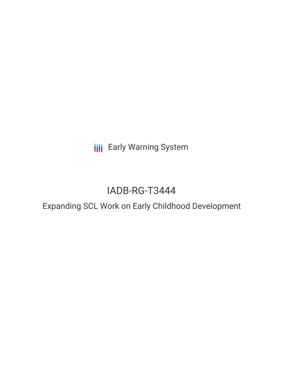**III** Early Warning System

# IADB-RG-T3444

## Expanding SCL Work on Early Childhood Development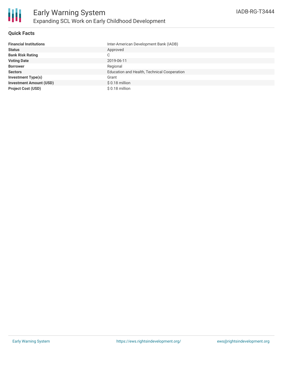

#### **Quick Facts**

| <b>Financial Institutions</b>  | Inter-American Development Bank (IADB)      |
|--------------------------------|---------------------------------------------|
| <b>Status</b>                  | Approved                                    |
| <b>Bank Risk Rating</b>        | С                                           |
| <b>Voting Date</b>             | 2019-06-11                                  |
| <b>Borrower</b>                | Regional                                    |
| <b>Sectors</b>                 | Education and Health, Technical Cooperation |
| <b>Investment Type(s)</b>      | Grant                                       |
| <b>Investment Amount (USD)</b> | $$0.18$ million                             |
| <b>Project Cost (USD)</b>      | $$0.18$ million                             |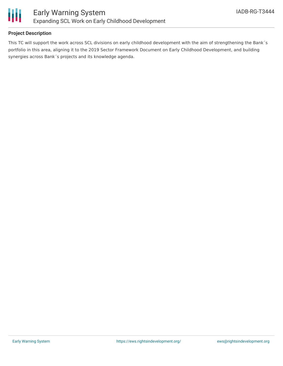

#### **Project Description**

This TC will support the work across SCL divisions on early childhood development with the aim of strengthening the Bank´s portfolio in this area, aligning it to the 2019 Sector Framework Document on Early Childhood Development, and building synergies across Bank´s projects and its knowledge agenda.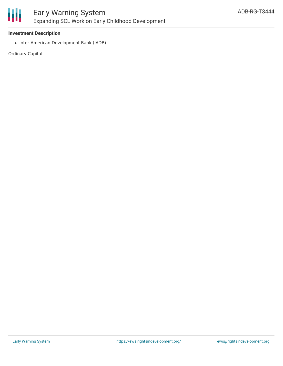

#### **Investment Description**

• Inter-American Development Bank (IADB)

Ordinary Capital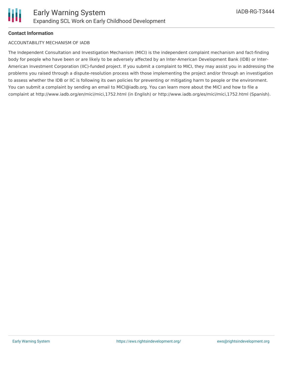

#### **Contact Information**

#### ACCOUNTABILITY MECHANISM OF IADB

The Independent Consultation and Investigation Mechanism (MICI) is the independent complaint mechanism and fact-finding body for people who have been or are likely to be adversely affected by an Inter-American Development Bank (IDB) or Inter-American Investment Corporation (IIC)-funded project. If you submit a complaint to MICI, they may assist you in addressing the problems you raised through a dispute-resolution process with those implementing the project and/or through an investigation to assess whether the IDB or IIC is following its own policies for preventing or mitigating harm to people or the environment. You can submit a complaint by sending an email to MICI@iadb.org. You can learn more about the MICI and how to file a complaint at http://www.iadb.org/en/mici/mici,1752.html (in English) or http://www.iadb.org/es/mici/mici,1752.html (Spanish).